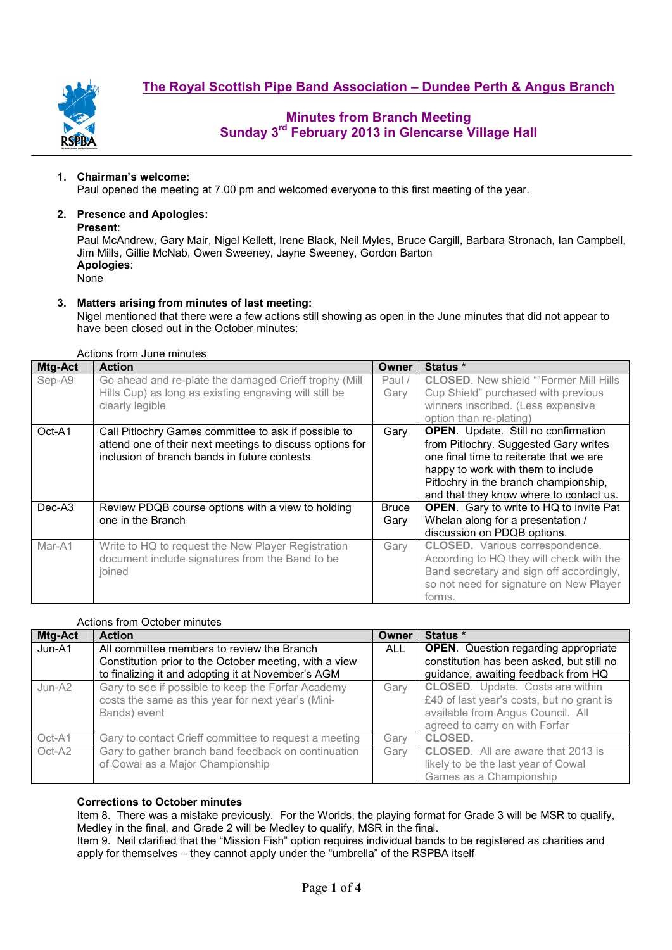**The Royal Scottish Pipe Band Association – Dundee Perth & Angus Branch**



# **Minutes from Branch Meeting Sunday 3rd February 2013 in Glencarse Village Hall**

## **1. Chairman's welcome:**

Paul opened the meeting at 7.00 pm and welcomed everyone to this first meeting of the year.

# **2. Presence and Apologies:**

**Present**:

Paul McAndrew, Gary Mair, Nigel Kellett, Irene Black, Neil Myles, Bruce Cargill, Barbara Stronach, Ian Campbell, Jim Mills, Gillie McNab, Owen Sweeney, Jayne Sweeney, Gordon Barton **Apologies**: None

## **3. Matters arising from minutes of last meeting:**

Nigel mentioned that there were a few actions still showing as open in the June minutes that did not appear to have been closed out in the October minutes:

| Mtg-Act | <b>Action</b>                                                                                                                                                    | <b>Owner</b>         | Status *                                                                                                                                                                                                                                                                                                                                                                                                          |  |  |  |
|---------|------------------------------------------------------------------------------------------------------------------------------------------------------------------|----------------------|-------------------------------------------------------------------------------------------------------------------------------------------------------------------------------------------------------------------------------------------------------------------------------------------------------------------------------------------------------------------------------------------------------------------|--|--|--|
| Sep-A9  | Go ahead and re-plate the damaged Crieff trophy (Mill<br>Hills Cup) as long as existing engraving will still be<br>clearly legible                               | Paul /<br>Gary       | <b>CLOSED.</b> New shield ""Former Mill Hills<br>Cup Shield" purchased with previous<br>winners inscribed. (Less expensive<br>option than re-plating)<br><b>OPEN.</b> Update. Still no confirmation<br>from Pitlochry. Suggested Gary writes<br>one final time to reiterate that we are<br>happy to work with them to include<br>Pitlochry in the branch championship,<br>and that they know where to contact us. |  |  |  |
| Oct-A1  | Call Pitlochry Games committee to ask if possible to<br>attend one of their next meetings to discuss options for<br>inclusion of branch bands in future contests | Gary                 |                                                                                                                                                                                                                                                                                                                                                                                                                   |  |  |  |
| Dec-A3  | Review PDQB course options with a view to holding<br>one in the Branch                                                                                           | <b>Bruce</b><br>Gary | <b>OPEN.</b> Gary to write to HQ to invite Pat<br>Whelan along for a presentation /<br>discussion on PDQB options.                                                                                                                                                                                                                                                                                                |  |  |  |
| Mar-A1  | Write to HQ to request the New Player Registration<br>document include signatures from the Band to be<br>joined                                                  | Gary                 | <b>CLOSED.</b> Various correspondence.<br>According to HQ they will check with the<br>Band secretary and sign off accordingly,<br>so not need for signature on New Player<br>forms.                                                                                                                                                                                                                               |  |  |  |

#### Actions from October minutes

| Mtg-Act | <b>Action</b>                                                                                                                                              | Owner | Status *                                                                                                                                                    |  |  |
|---------|------------------------------------------------------------------------------------------------------------------------------------------------------------|-------|-------------------------------------------------------------------------------------------------------------------------------------------------------------|--|--|
| Jun-A1  | All committee members to review the Branch<br>Constitution prior to the October meeting, with a view<br>to finalizing it and adopting it at November's AGM | ALL   | <b>OPEN.</b> Question regarding appropriate<br>constitution has been asked, but still no<br>guidance, awaiting feedback from HQ                             |  |  |
| Jun-A2  | Gary to see if possible to keep the Forfar Academy<br>costs the same as this year for next year's (Mini-<br>Bands) event                                   | Gary  | <b>CLOSED.</b> Update. Costs are within<br>£40 of last year's costs, but no grant is<br>available from Angus Council. All<br>agreed to carry on with Forfar |  |  |
| Oct-A1  | Gary to contact Crieff committee to request a meeting                                                                                                      | Garv  | <b>CLOSED.</b>                                                                                                                                              |  |  |
| Oct-A2  | Gary to gather branch band feedback on continuation<br>of Cowal as a Major Championship                                                                    | Gary  | <b>CLOSED.</b> All are aware that 2013 is<br>likely to be the last year of Cowal<br>Games as a Championship                                                 |  |  |

## **Corrections to October minutes**

Item 8. There was a mistake previously. For the Worlds, the playing format for Grade 3 will be MSR to qualify, Medley in the final, and Grade 2 will be Medley to qualify, MSR in the final.

Item 9. Neil clarified that the "Mission Fish" option requires individual bands to be registered as charities and apply for themselves – they cannot apply under the "umbrella" of the RSPBA itself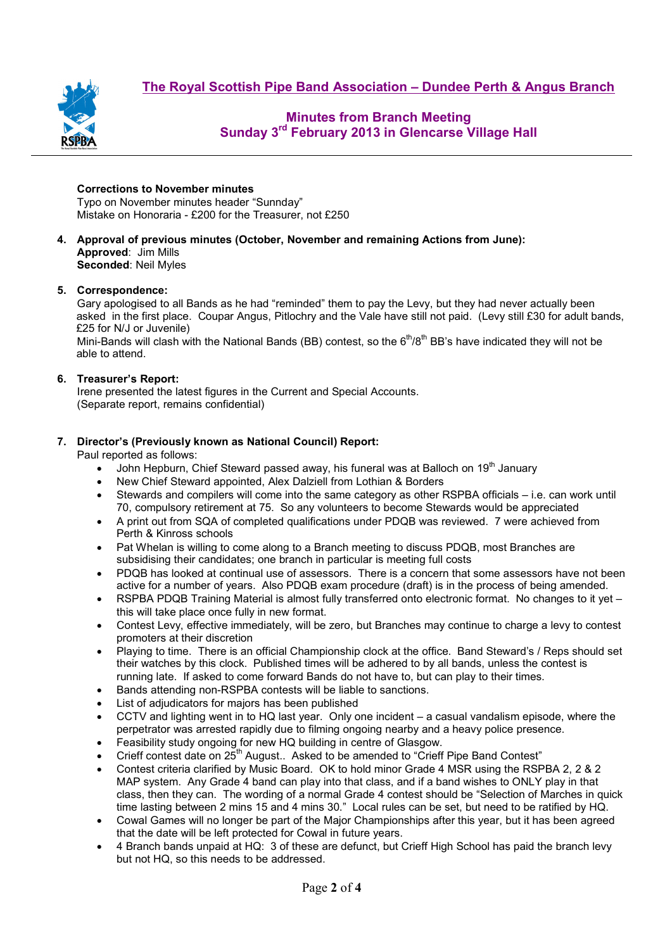**The Royal Scottish Pipe Band Association – Dundee Perth & Angus Branch**



## **Minutes from Branch Meeting Sunday 3rd February 2013 in Glencarse Village Hall**

#### **Corrections to November minutes**

Typo on November minutes header "Sunnday" Mistake on Honoraria - £200 for the Treasurer, not £250

**4. Approval of previous minutes (October, November and remaining Actions from June): Approved**: Jim Mills **Seconded**: Neil Myles

#### **5. Correspondence:**

Gary apologised to all Bands as he had "reminded" them to pay the Levy, but they had never actually been asked in the first place. Coupar Angus, Pitlochry and the Vale have still not paid. (Levy still £30 for adult bands, £25 for N/J or Juvenile)

Mini-Bands will clash with the National Bands (BB) contest, so the  $6<sup>th</sup>/8<sup>th</sup>$  BB's have indicated they will not be able to attend.

#### **6. Treasurer's Report:**

Irene presented the latest figures in the Current and Special Accounts. (Separate report, remains confidential)

#### **7. Director's (Previously known as National Council) Report:**

Paul reported as follows:

- John Hepburn, Chief Steward passed away, his funeral was at Balloch on 19<sup>th</sup> January
- New Chief Steward appointed, Alex Dalziell from Lothian & Borders
- Stewards and compilers will come into the same category as other RSPBA officials i.e. can work until 70, compulsory retirement at 75. So any volunteers to become Stewards would be appreciated
- A print out from SQA of completed qualifications under PDQB was reviewed. 7 were achieved from Perth & Kinross schools
- Pat Whelan is willing to come along to a Branch meeting to discuss PDQB, most Branches are subsidising their candidates; one branch in particular is meeting full costs
- PDQB has looked at continual use of assessors. There is a concern that some assessors have not been active for a number of years. Also PDQB exam procedure (draft) is in the process of being amended.
- RSPBA PDQB Training Material is almost fully transferred onto electronic format. No changes to it yet this will take place once fully in new format.
- Contest Levy, effective immediately, will be zero, but Branches may continue to charge a levy to contest promoters at their discretion
- Playing to time. There is an official Championship clock at the office. Band Steward's / Reps should set their watches by this clock. Published times will be adhered to by all bands, unless the contest is running late. If asked to come forward Bands do not have to, but can play to their times.
- Bands attending non-RSPBA contests will be liable to sanctions.
- List of adjudicators for majors has been published
- CCTV and lighting went in to HQ last year. Only one incident a casual vandalism episode, where the perpetrator was arrested rapidly due to filming ongoing nearby and a heavy police presence.
- Feasibility study ongoing for new HQ building in centre of Glasgow.
- Crieff contest date on 25<sup>th</sup> August.. Asked to be amended to "Crieff Pipe Band Contest"
- Contest criteria clarified by Music Board. OK to hold minor Grade 4 MSR using the RSPBA 2, 2 & 2 MAP system. Any Grade 4 band can play into that class, and if a band wishes to ONLY play in that class, then they can. The wording of a normal Grade 4 contest should be "Selection of Marches in quick time lasting between 2 mins 15 and 4 mins 30." Local rules can be set, but need to be ratified by HQ.
- Cowal Games will no longer be part of the Major Championships after this year, but it has been agreed that the date will be left protected for Cowal in future years.
- 4 Branch bands unpaid at HQ: 3 of these are defunct, but Crieff High School has paid the branch levy but not HQ, so this needs to be addressed.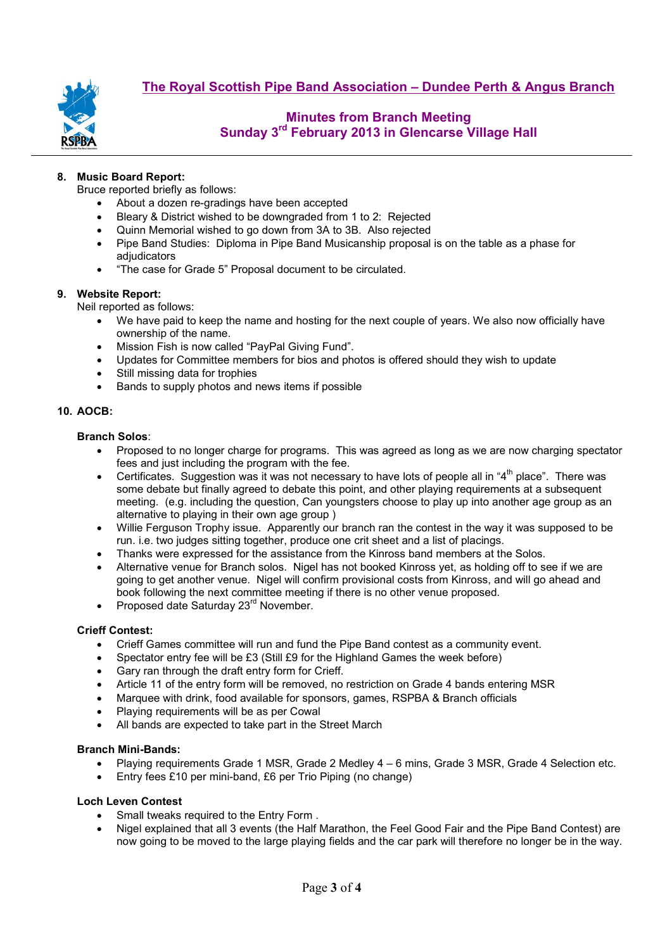

# **Minutes from Branch Meeting Sunday 3rd February 2013 in Glencarse Village Hall**

## **8. Music Board Report:**

Bruce reported briefly as follows:

- About a dozen re-gradings have been accepted
- Bleary & District wished to be downgraded from 1 to 2: Rejected
- Quinn Memorial wished to go down from 3A to 3B. Also rejected
- Pipe Band Studies: Diploma in Pipe Band Musicanship proposal is on the table as a phase for adiudicators
- "The case for Grade 5" Proposal document to be circulated.

## **9. Website Report:**

Neil reported as follows:

- We have paid to keep the name and hosting for the next couple of years. We also now officially have ownership of the name.
- Mission Fish is now called "PayPal Giving Fund".
- Updates for Committee members for bios and photos is offered should they wish to update
- Still missing data for trophies
- Bands to supply photos and news items if possible

## **10. AOCB:**

## **Branch Solos**:

- Proposed to no longer charge for programs. This was agreed as long as we are now charging spectator fees and just including the program with the fee.
- Certificates. Suggestion was it was not necessary to have lots of people all in "4th place". There was some debate but finally agreed to debate this point, and other playing requirements at a subsequent meeting. (e.g. including the question, Can youngsters choose to play up into another age group as an alternative to playing in their own age group )
- Willie Ferguson Trophy issue. Apparently our branch ran the contest in the way it was supposed to be run. i.e. two judges sitting together, produce one crit sheet and a list of placings.
- Thanks were expressed for the assistance from the Kinross band members at the Solos.
- Alternative venue for Branch solos. Nigel has not booked Kinross yet, as holding off to see if we are going to get another venue. Nigel will confirm provisional costs from Kinross, and will go ahead and book following the next committee meeting if there is no other venue proposed.
- Proposed date Saturday 23<sup>rd</sup> November.

## **Crieff Contest:**

- Crieff Games committee will run and fund the Pipe Band contest as a community event.
- Spectator entry fee will be £3 (Still £9 for the Highland Games the week before)
- Gary ran through the draft entry form for Crieff.
- Article 11 of the entry form will be removed, no restriction on Grade 4 bands entering MSR
- Marquee with drink, food available for sponsors, games, RSPBA & Branch officials
- Playing requirements will be as per Cowal
- All bands are expected to take part in the Street March

## **Branch Mini-Bands:**

- Playing requirements Grade 1 MSR, Grade 2 Medley 4 6 mins, Grade 3 MSR, Grade 4 Selection etc.
- Entry fees £10 per mini-band, £6 per Trio Piping (no change)

## **Loch Leven Contest**

- Small tweaks required to the Entry Form.
- Nigel explained that all 3 events (the Half Marathon, the Feel Good Fair and the Pipe Band Contest) are now going to be moved to the large playing fields and the car park will therefore no longer be in the way.